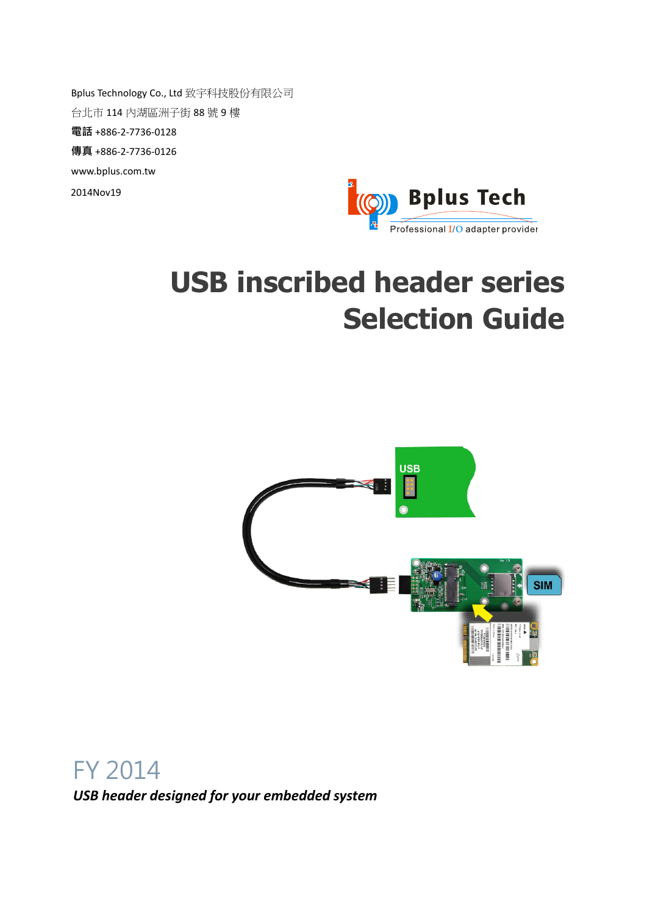Bplus Technology Co., Ltd 致宇科技股份有限公司 台北市 114 內湖區洲子街 88 號 9 樓 電話 +886-2-7736-0128 傳真 +886-2-7736-0126 www.bplus.com.tw 2014Nov19



# **USB inscribed header series Selection Guide**



FY 2014

*USB header designed for your embedded system*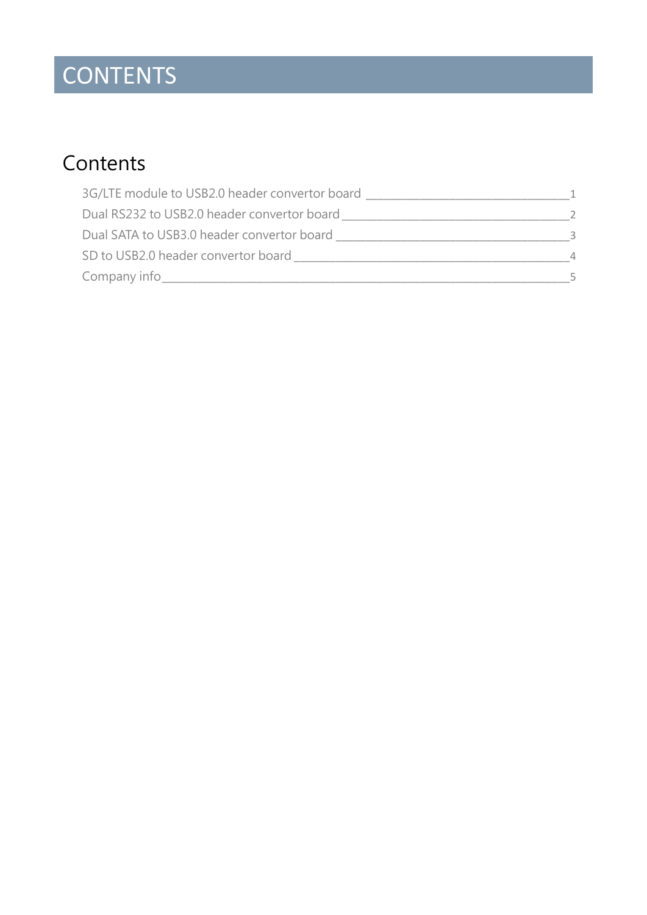## CONTENTS

### **Contents**

| 3G/LTE module to USB2.0 header convertor board |  |
|------------------------------------------------|--|
| Dual RS232 to USB2.0 header convertor board    |  |
| Dual SATA to USB3.0 header convertor board     |  |
| SD to USB2.0 header convertor board            |  |
| Company info                                   |  |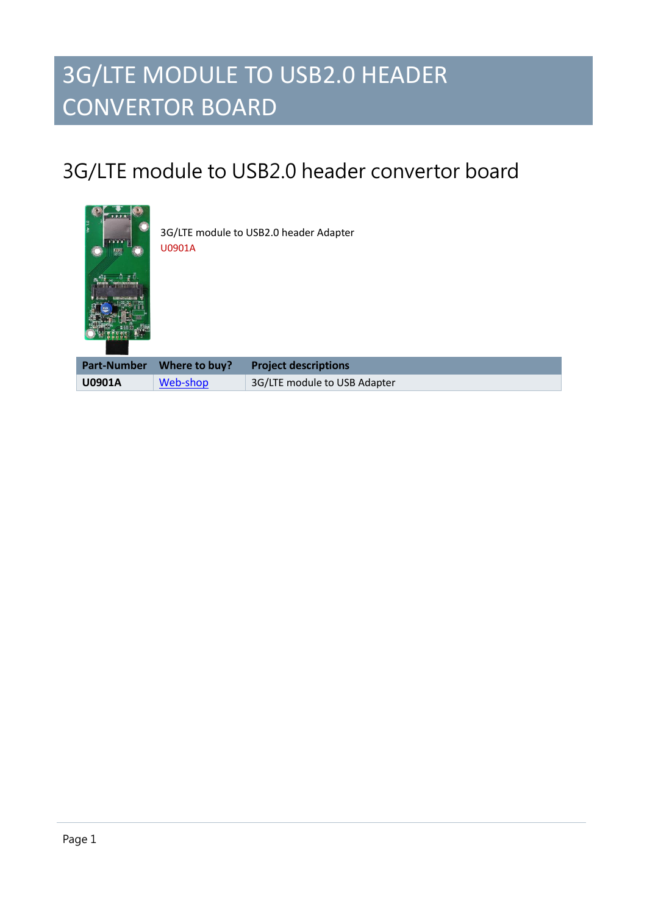### 3G/LTE MODULE TO USB2.0 HEADER CONVERTOR BOARD

### <span id="page-2-0"></span>3G/LTE module to USB2.0 header convertor board



3G/LTE module to USB2.0 header Adapter U0901A

|               | Part-Number Where to buy? | <b>Project descriptions</b>  |
|---------------|---------------------------|------------------------------|
| <b>U0901A</b> | Web-shop                  | 3G/LTE module to USB Adapter |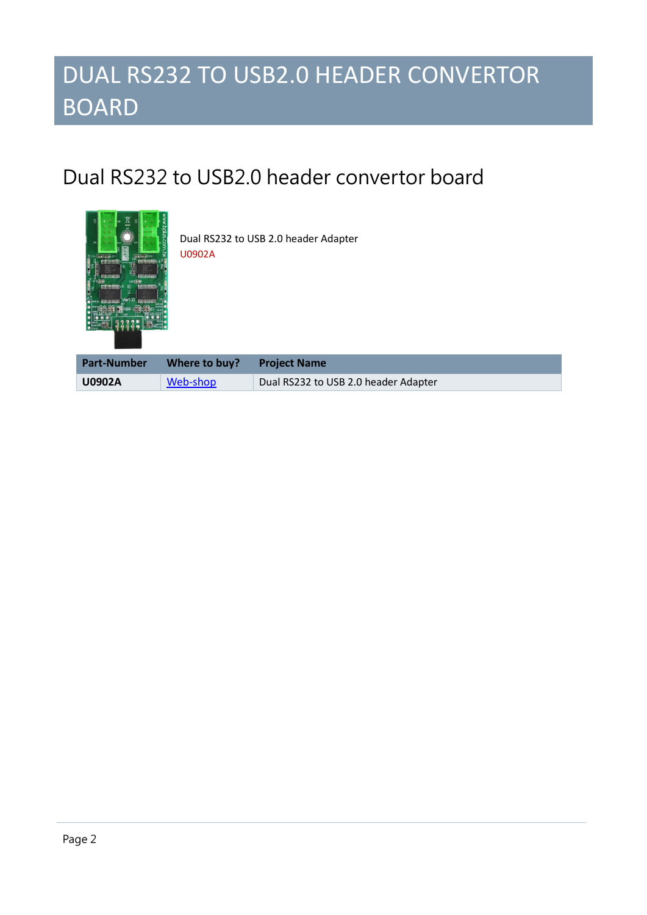### DUAL RS232 TO USB2.0 HEADER CONVERTOR BOARD

#### <span id="page-3-0"></span>Dual RS232 to USB2.0 header convertor board



Dual RS232 to USB 2.0 header Adapter U0902A

| <b>Part-Number</b> | Where to buy? Project Name |                                      |
|--------------------|----------------------------|--------------------------------------|
| <b>U0902A</b>      | Web-shop                   | Dual RS232 to USB 2.0 header Adapter |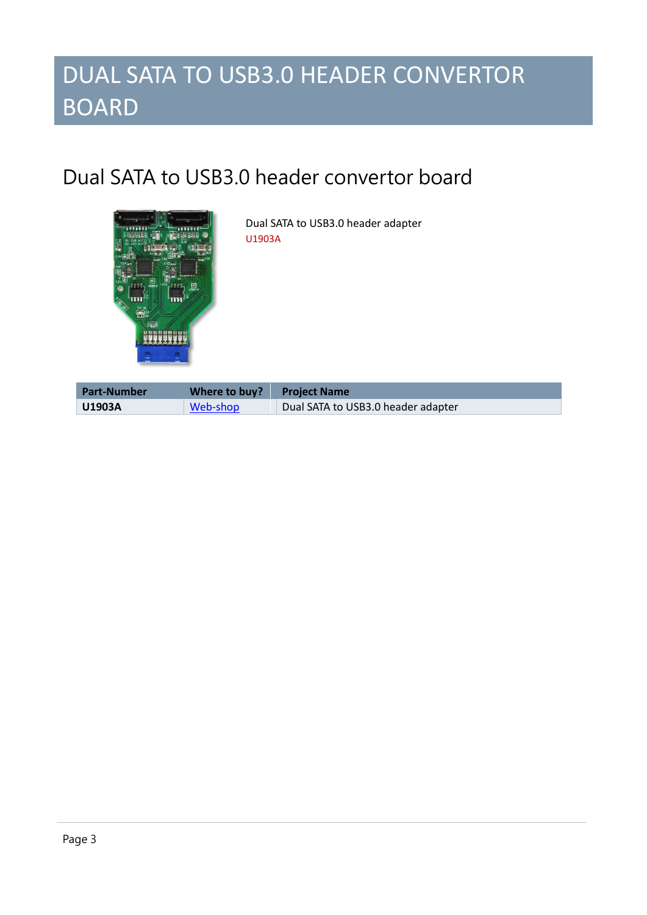### DUAL SATA TO USB3.0 HEADER CONVERTOR BOARD

#### <span id="page-4-0"></span>Dual SATA to USB3.0 header convertor board



Dual SATA to USB3.0 header adapter U1903A

| <b>Part-Number</b> | Where to buy? | Project Name                       |
|--------------------|---------------|------------------------------------|
| <b>U1903A</b>      | Web-shop      | Dual SATA to USB3.0 header adapter |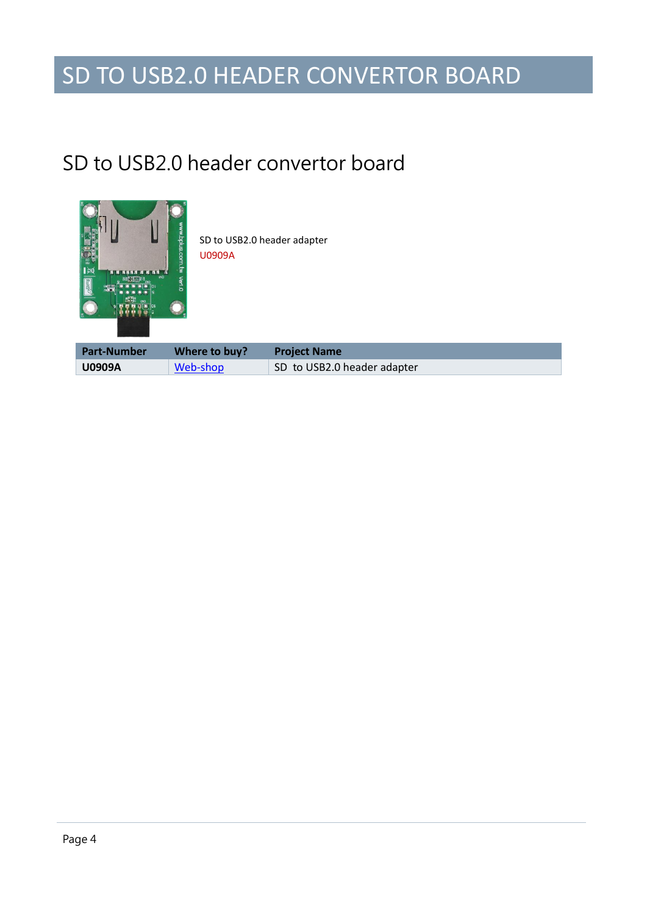### SD TO USB2.0 HEADER CONVERTOR BOARD

#### <span id="page-5-0"></span>SD to USB2.0 header convertor board



SD to USB2.0 header adapter U0909A

| <b>Part-Number</b> | Where to buy? | <b>Project Name</b>         |
|--------------------|---------------|-----------------------------|
| <b>U0909A</b>      | Web-shop      | SD to USB2.0 header adapter |